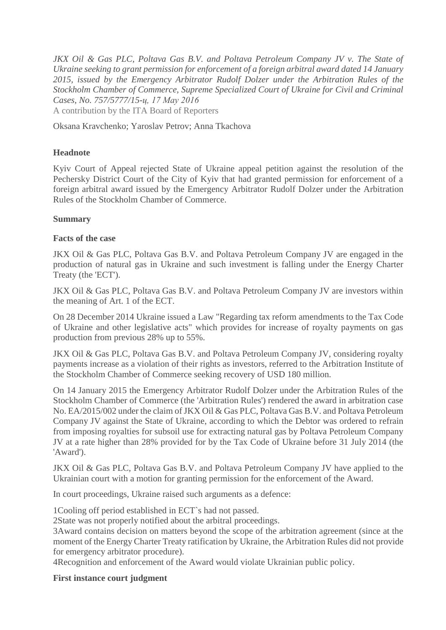*JKX Oil & Gas PLC, Poltava Gas B.V. and Poltava Petroleum Company JV v. The State of Ukraine seeking to grant permission for enforcement of a foreign arbitral award dated 14 January 2015, issued by the Emergency Arbitrator Rudolf Dolzer under the Arbitration Rules of the Stockholm Chamber of Commerce, Supreme Specialized Court of Ukraine for Civil and Criminal Cases, No. 757/5777/15-ц, 17 May 2016* A contribution by the ITA Board of Reporters

Oksana Kravchenko; Yaroslav Petrov; Anna Tkachova

#### **Headnote**

Kyiv Court of Appeal rejected State of Ukraine appeal petition against the resolution of the Pechersky District Court of the City of Kyiv that had granted permission for enforcement of a foreign arbitral award issued by the Emergency Arbitrator Rudolf Dolzer under the Arbitration Rules of the Stockholm Chamber of Commerce.

#### **Summary**

#### **Facts of the case**

JKX Oil & Gas PLC, Poltava Gas B.V. and Poltava Petroleum Company JV are engaged in the production of natural gas in Ukraine and such investment is falling under the Energy Charter Treaty (the 'ECT').

JKX Oil & Gas PLC, Poltava Gas B.V. and Poltava Petroleum Company JV are investors within the meaning of Art. 1 of the ECT.

On 28 December 2014 Ukraine issued a Law "Regarding tax reform amendments to the Tax Code of Ukraine and other legislative acts" which provides for increase of royalty payments on gas production from previous 28% up to 55%.

JKX Oil & Gas PLC, Poltava Gas B.V. and Poltava Petroleum Company JV, considering royalty payments increase as a violation of their rights as investors, referred to the Arbitration Institute of the Stockholm Chamber of Commerce seeking recovery of USD 180 million.

On 14 January 2015 the Emergency Arbitrator Rudolf Dolzer under the Arbitration Rules of the Stockholm Chamber of Commerce (the 'Arbitration Rules') rendered the award in arbitration case No. EA/2015/002 under the claim of JKX Oil & Gas PLC, Poltava Gas B.V. and Poltava Petroleum Company JV against the State of Ukraine, according to which the Debtor was ordered to refrain from imposing royalties for subsoil use for extracting natural gas by Poltava Petroleum Company JV at a rate higher than 28% provided for by the Tax Code of Ukraine before 31 July 2014 (the 'Award').

JKX Oil & Gas PLC, Poltava Gas B.V. and Poltava Petroleum Company JV have applied to the Ukrainian court with a motion for granting permission for the enforcement of the Award.

In court proceedings, Ukraine raised such arguments as a defence:

1Cooling off period established in ECT`s had not passed.

2State was not properly notified about the arbitral proceedings.

3Award contains decision on matters beyond the scope of the arbitration agreement (since at the moment of the Energy Charter Treaty ratification by Ukraine, the Arbitration Rules did not provide for emergency arbitrator procedure).

4Recognition and enforcement of the Award would violate Ukrainian public policy.

# **First instance court judgment**